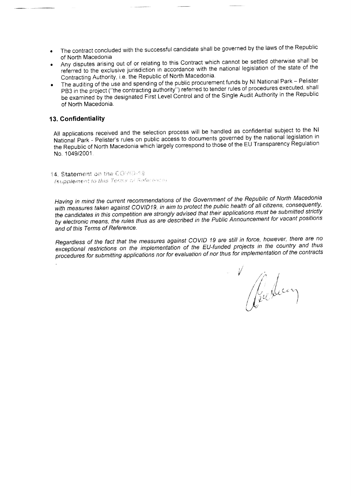- The contract concluded with the successful candidate shall be governed by the laws of the Republic of North Macedonia
- Any disputes arising out of or relating to this Contract which cannot be settled otherwise shall be referred to the exclusive jurisdiction in accordance with the national legislation of the state of the Contracting Authority, i.e. the Republic of North Macedonia.
- The auditing of the use and spending of the public procurement funds by NI National Park Pelister PB3 in the project ("the contracting authority") referred to tender rules of procedures executed, shall be examined by the designated First Level Control and of the Single Audit Authority in the Republic of North Macedonia.

## 13. Confidentiality

All applications received and the selection process will be handled as confidential subject to the NI National Park - Pelister's rules on public access to documents governed by the national legislation in the Republic of North Macedonia which largely correspond to those of the EU Transparency Regulation No. 1049/2001.

14. Statement on the COVID-19 **Isupplement to this Terms of References** 

Having in mind the current recommendations of the Government of the Republic of North Macedonia with measures taken against COVID19, in aim to protect the public health of all citizens, consequently, the candidates in this competition are strongly advised that their applications must be submitted strictly by electronic means, the rules thus as are described in the Public Announcement for vacant positions and of this Terms of Reference.

Regardless of the fact that the measures against COVID 19 are still in force, however, there are no exceptional restrictions on the implementation of the EU-funded projects in the country and thus procedures for submitting applications nor for evaluation of nor thus for implementation of the contracts

Reducin